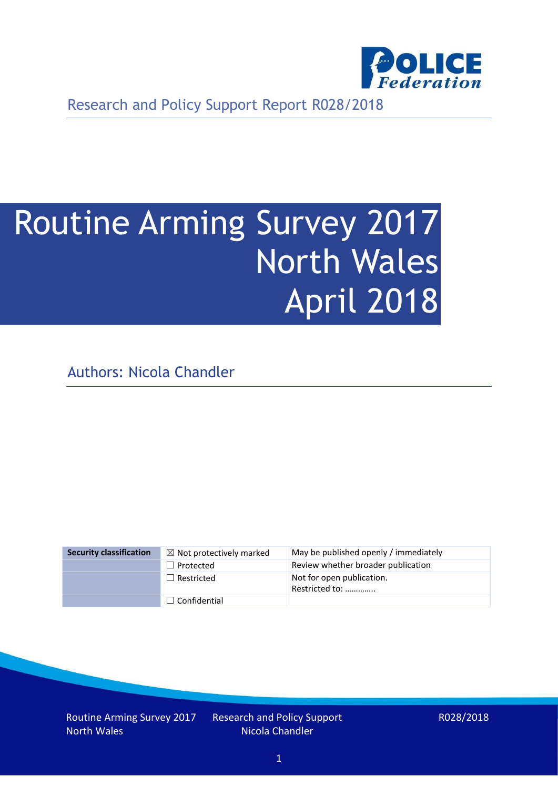

Research and Policy Support Report R028/2018

# Routine Arming Survey 2017 North Wales April 2018

Authors: Nicola Chandler

| <b>Security classification</b> | $\boxtimes$ Not protectively marked | May be published openly / immediately       |
|--------------------------------|-------------------------------------|---------------------------------------------|
|                                | $\Box$ Protected                    | Review whether broader publication          |
|                                | $\Box$ Restricted                   | Not for open publication.<br>Restricted to: |
|                                | $\Box$ Confidential                 |                                             |

Routine Arming Survey 2017 North Wales

Research and Policy Support Nicola Chandler

R028/2018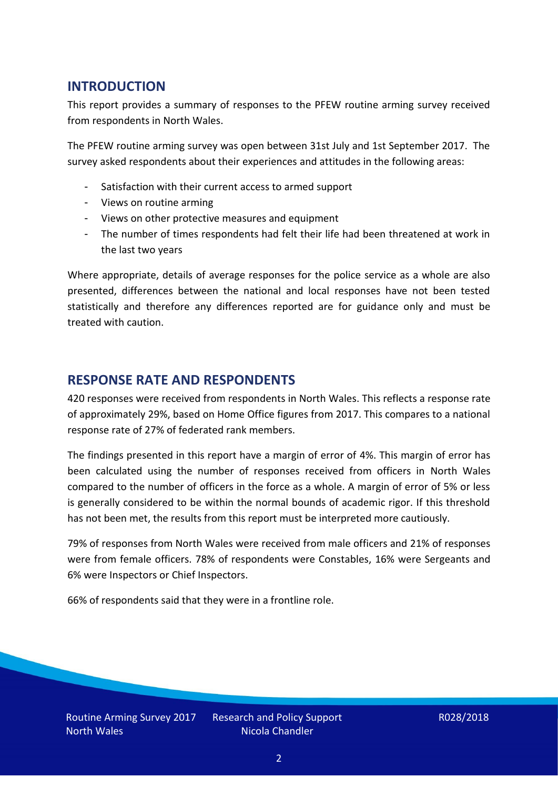## **INTRODUCTION**

This report provides a summary of responses to the PFEW routine arming survey received from respondents in North Wales.

The PFEW routine arming survey was open between 31st July and 1st September 2017. The survey asked respondents about their experiences and attitudes in the following areas:

- Satisfaction with their current access to armed support
- Views on routine arming
- Views on other protective measures and equipment
- The number of times respondents had felt their life had been threatened at work in the last two years

Where appropriate, details of average responses for the police service as a whole are also presented, differences between the national and local responses have not been tested statistically and therefore any differences reported are for guidance only and must be treated with caution.

## **RESPONSE RATE AND RESPONDENTS**

420 responses were received from respondents in North Wales. This reflects a response rate of approximately 29%, based on Home Office figures from 2017. This compares to a national response rate of 27% of federated rank members.

The findings presented in this report have a margin of error of 4%. This margin of error has been calculated using the number of responses received from officers in North Wales compared to the number of officers in the force as a whole. A margin of error of 5% or less is generally considered to be within the normal bounds of academic rigor. If this threshold has not been met, the results from this report must be interpreted more cautiously.

79% of responses from North Wales were received from male officers and 21% of responses were from female officers. 78% of respondents were Constables, 16% were Sergeants and 6% were Inspectors or Chief Inspectors.

66% of respondents said that they were in a frontline role.

Routine Arming Survey 2017 North Wales

Research and Policy Support Nicola Chandler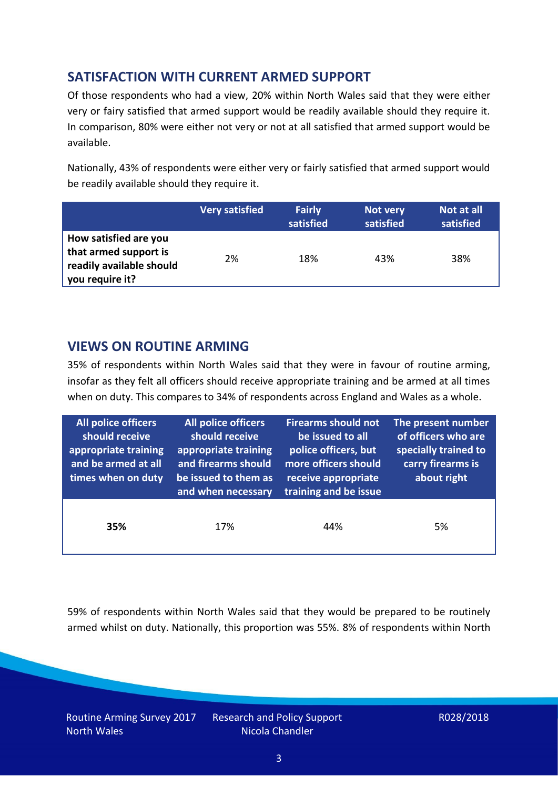# **SATISFACTION WITH CURRENT ARMED SUPPORT**

Of those respondents who had a view, 20% within North Wales said that they were either very or fairy satisfied that armed support would be readily available should they require it. In comparison, 80% were either not very or not at all satisfied that armed support would be available.

Nationally, 43% of respondents were either very or fairly satisfied that armed support would be readily available should they require it.

|                                                                                               | <b>Very satisfied</b> | <b>Fairly</b><br>satisfied | Not very<br>satisfied | Not at all<br>satisfied |
|-----------------------------------------------------------------------------------------------|-----------------------|----------------------------|-----------------------|-------------------------|
| How satisfied are you<br>that armed support is<br>readily available should<br>you require it? | 2%                    | 18%                        | 43%                   | 38%                     |

### **VIEWS ON ROUTINE ARMING**

35% of respondents within North Wales said that they were in favour of routine arming, insofar as they felt all officers should receive appropriate training and be armed at all times when on duty. This compares to 34% of respondents across England and Wales as a whole.

| All police officers<br>should receive<br>appropriate training<br>and be armed at all<br>times when on duty | All police officers<br>should receive<br>appropriate training<br>and firearms should<br>be issued to them as<br>and when necessary | <b>Firearms should not</b><br>be issued to all<br>police officers, but<br>more officers should<br>receive appropriate<br>training and be issue | The present number<br>of officers who are<br>specially trained to<br>carry firearms is<br>about right |  |
|------------------------------------------------------------------------------------------------------------|------------------------------------------------------------------------------------------------------------------------------------|------------------------------------------------------------------------------------------------------------------------------------------------|-------------------------------------------------------------------------------------------------------|--|
| 35%                                                                                                        | 17%                                                                                                                                | 44%                                                                                                                                            | 5%                                                                                                    |  |

59% of respondents within North Wales said that they would be prepared to be routinely armed whilst on duty. Nationally, this proportion was 55%. 8% of respondents within North

Routine Arming Survey 2017 North Wales

Research and Policy Support Nicola Chandler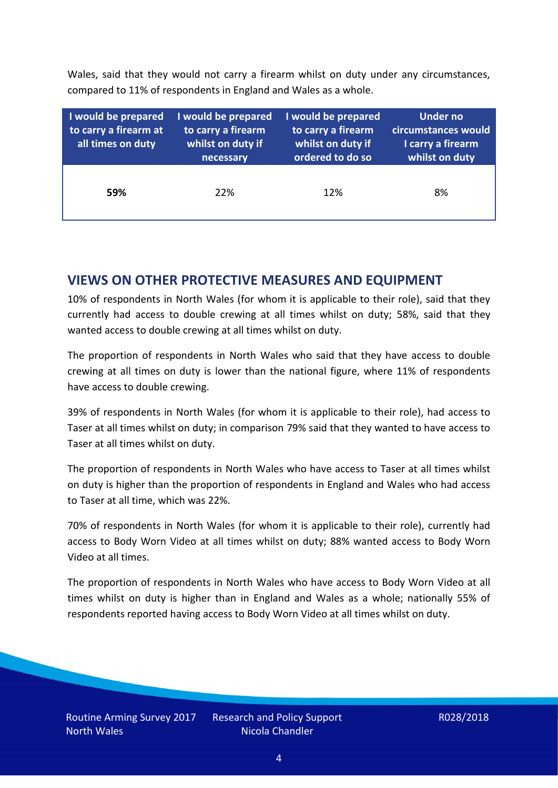Wales, said that they would not carry a firearm whilst on duty under any circumstances, compared to 11% of respondents in England and Wales as a whole.

| I would be prepared<br>to carry a firearm at<br>all times on duty | I would be prepared<br>to carry a firearm<br>whilst on duty if<br>necessary | I would be prepared<br>to carry a firearm<br>whilst on duty if<br>ordered to do so | Under no<br>circumstances would<br>I carry a firearm<br>whilst on duty |  |  |
|-------------------------------------------------------------------|-----------------------------------------------------------------------------|------------------------------------------------------------------------------------|------------------------------------------------------------------------|--|--|
| 59%                                                               | 22%                                                                         | 12%                                                                                | 8%                                                                     |  |  |

### **VIEWS ON OTHER PROTECTIVE MEASURES AND EQUIPMENT**

10% of respondents in North Wales (for whom it is applicable to their role), said that they currently had access to double crewing at all times whilst on duty; 58%, said that they wanted access to double crewing at all times whilst on duty.

The proportion of respondents in North Wales who said that they have access to double crewing at all times on duty is lower than the national figure, where 11% of respondents have access to double crewing.

39% of respondents in North Wales (for whom it is applicable to their role), had access to Taser at all times whilst on duty; in comparison 79% said that they wanted to have access to Taser at all times whilst on duty.

The proportion of respondents in North Wales who have access to Taser at all times whilst on duty is higher than the proportion of respondents in England and Wales who had access to Taser at all time, which was 22%.

70% of respondents in North Wales (for whom it is applicable to their role), currently had access to Body Worn Video at all times whilst on duty; 88% wanted access to Body Worn Video at all times.

The proportion of respondents in North Wales who have access to Body Worn Video at all times whilst on duty is higher than in England and Wales as a whole; nationally 55% of respondents reported having access to Body Worn Video at all times whilst on duty.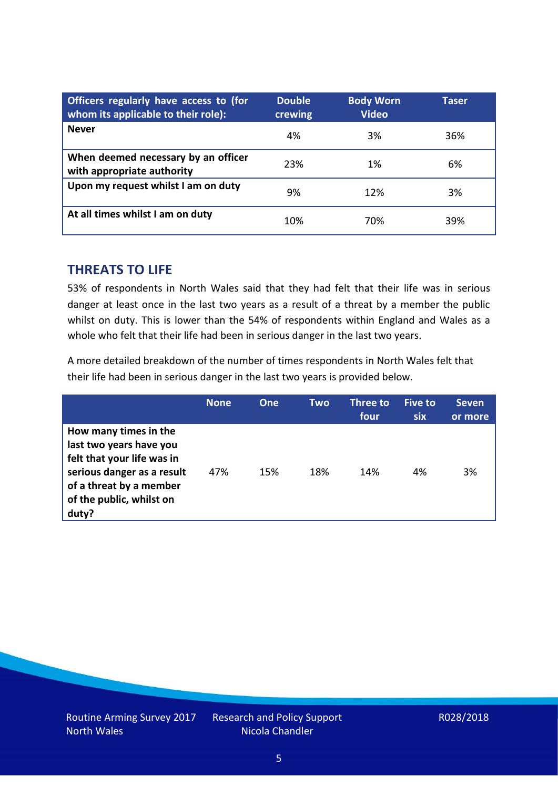| Officers regularly have access to (for<br>whom its applicable to their role): | <b>Double</b><br>crewing | <b>Body Worn</b><br><b>Video</b> | Taser |
|-------------------------------------------------------------------------------|--------------------------|----------------------------------|-------|
| <b>Never</b>                                                                  | 4%                       | 3%                               | 36%   |
| When deemed necessary by an officer<br>with appropriate authority             | 23%                      | 1%                               | 6%    |
| Upon my request whilst I am on duty                                           | 9%                       | 12%                              | 3%    |
| At all times whilst I am on duty                                              | 10%                      | 70%                              | 39%   |

#### **THREATS TO LIFE**

53% of respondents in North Wales said that they had felt that their life was in serious danger at least once in the last two years as a result of a threat by a member the public whilst on duty. This is lower than the 54% of respondents within England and Wales as a whole who felt that their life had been in serious danger in the last two years.

A more detailed breakdown of the number of times respondents in North Wales felt that their life had been in serious danger in the last two years is provided below.

|                                                                                                                                                                              | <b>None</b> | One | Two | <b>Three to</b><br>four | <b>Five to</b><br>six | <b>Seven</b><br>or more |
|------------------------------------------------------------------------------------------------------------------------------------------------------------------------------|-------------|-----|-----|-------------------------|-----------------------|-------------------------|
| How many times in the<br>last two years have you<br>felt that your life was in<br>serious danger as a result<br>of a threat by a member<br>of the public, whilst on<br>duty? | 47%         | 15% | 18% | 14%                     | 4%                    | 3%                      |

Research and Policy Support Nicola Chandler